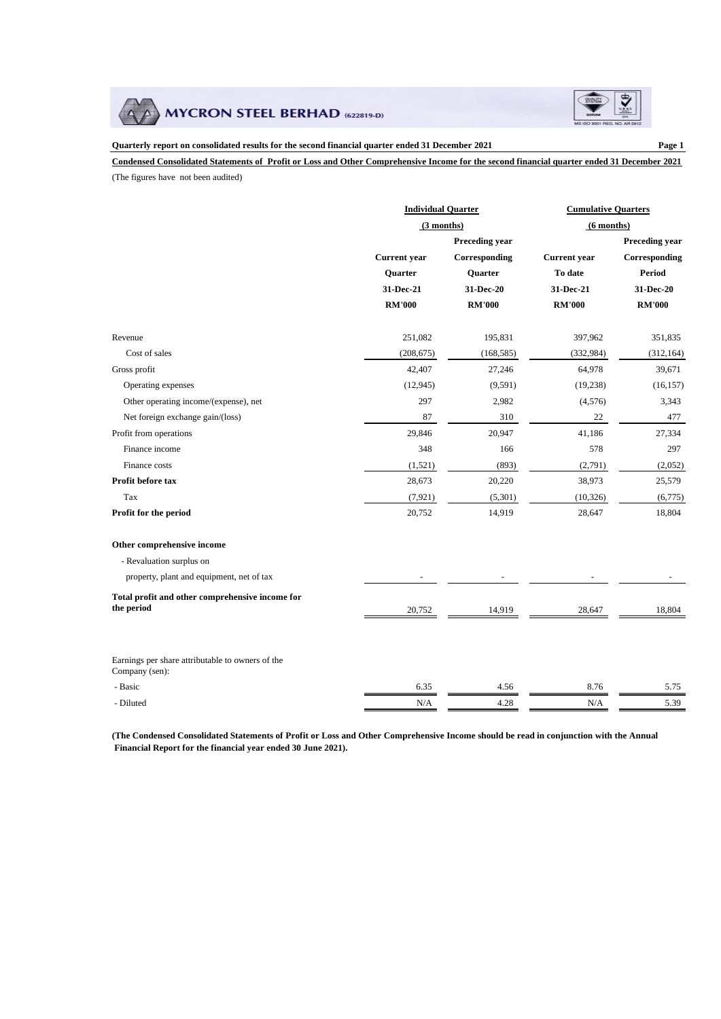



**Quarterly report on consolidated results for the second financial quarter ended 31 December 2021 Page 1 Condensed Consolidated Statements of Profit or Loss and Other Comprehensive Income for the second financial quarter ended 31 December 2021**

(The figures have not been audited)

|                                                  | <b>Individual Quarter</b> |                | <b>Cumulative Quarters</b> |                |  |
|--------------------------------------------------|---------------------------|----------------|----------------------------|----------------|--|
|                                                  | (3 months)                |                | $(6$ months)               |                |  |
|                                                  |                           | Preceding year |                            | Preceding year |  |
|                                                  | Current year              | Corresponding  | <b>Current</b> year        | Corresponding  |  |
|                                                  | Quarter                   | Quarter        | To date                    | Period         |  |
|                                                  | 31-Dec-21                 | 31-Dec-20      | 31-Dec-21                  | 31-Dec-20      |  |
|                                                  | <b>RM'000</b>             | <b>RM'000</b>  | <b>RM'000</b>              | <b>RM'000</b>  |  |
|                                                  |                           |                |                            |                |  |
| Revenue                                          | 251,082                   | 195,831        | 397,962                    | 351,835        |  |
| Cost of sales                                    | (208, 675)                | (168, 585)     | (332, 984)                 | (312, 164)     |  |
| Gross profit                                     | 42,407                    | 27,246         | 64,978                     | 39,671         |  |
| Operating expenses                               | (12, 945)                 | (9, 591)       | (19, 238)                  | (16, 157)      |  |
| Other operating income/(expense), net            | 297                       | 2,982          | (4,576)                    | 3,343          |  |
| Net foreign exchange gain/(loss)                 | 87                        | 310            | 22                         | 477            |  |
| Profit from operations                           | 29,846                    | 20,947         | 41,186                     | 27,334         |  |
| Finance income                                   | 348                       | 166            | 578                        | 297            |  |
| Finance costs                                    | (1,521)                   | (893)          | (2,791)                    | (2,052)        |  |
| Profit before tax                                | 28,673                    | 20,220         | 38,973                     | 25,579         |  |
| Tax                                              | (7, 921)                  | (5,301)        | (10, 326)                  | (6,775)        |  |
| Profit for the period                            | 20,752                    | 14,919         | 28,647                     | 18,804         |  |
| Other comprehensive income                       |                           |                |                            |                |  |
| - Revaluation surplus on                         |                           |                |                            |                |  |
| property, plant and equipment, net of tax        |                           |                |                            |                |  |
| Total profit and other comprehensive income for  |                           |                |                            |                |  |
| the period                                       | 20,752                    | 14,919         | 28,647                     | 18,804         |  |
| Earnings per share attributable to owners of the |                           |                |                            |                |  |
| Company (sen):                                   |                           |                |                            |                |  |
| - Basic                                          | 6.35                      | 4.56           | 8.76                       | 5.75           |  |
| - Diluted                                        | N/A                       | 4.28           | N/A                        | 5.39           |  |

**(The Condensed Consolidated Statements of Profit or Loss and Other Comprehensive Income should be read in conjunction with the Annual Financial Report for the financial year ended 30 June 2021).**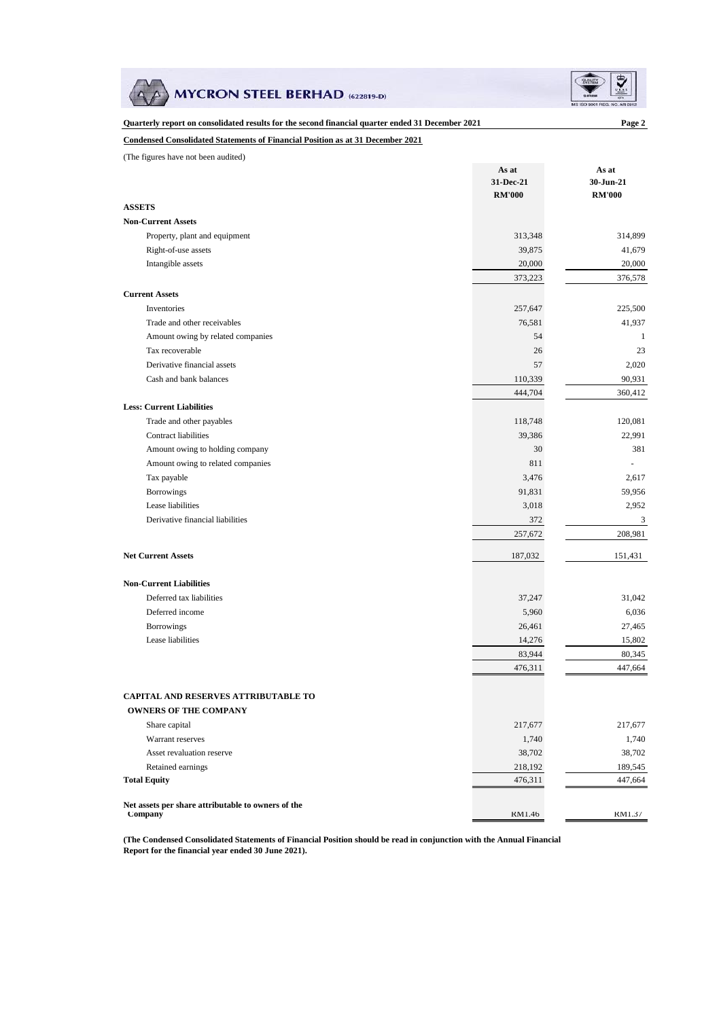**MYCRON STEEL BERHAD (622819-D)** 



| Quarterly report on consolidated results for the second financial quarter ended 31 December 2021 |                    | Page 2                 |
|--------------------------------------------------------------------------------------------------|--------------------|------------------------|
| <b>Condensed Consolidated Statements of Financial Position as at 31 December 2021</b>            |                    |                        |
| (The figures have not been audited)                                                              |                    |                        |
|                                                                                                  | As at              | As at                  |
|                                                                                                  | 31-Dec-21          | 30-Jun-21              |
| <b>ASSETS</b>                                                                                    | <b>RM'000</b>      | <b>RM'000</b>          |
| <b>Non-Current Assets</b>                                                                        |                    |                        |
| Property, plant and equipment                                                                    | 313,348            | 314,899                |
| Right-of-use assets                                                                              | 39,875             | 41,679                 |
| Intangible assets                                                                                | 20,000             | 20,000                 |
|                                                                                                  | 373,223            | 376,578                |
| <b>Current Assets</b>                                                                            |                    |                        |
| Inventories                                                                                      | 257,647            | 225,500                |
| Trade and other receivables                                                                      | 76,581             |                        |
|                                                                                                  | 54                 | 41,937<br>$\mathbf{1}$ |
| Amount owing by related companies<br>Tax recoverable                                             |                    | 23                     |
| Derivative financial assets                                                                      | 26<br>57           |                        |
| Cash and bank balances                                                                           |                    | 2,020                  |
|                                                                                                  | 110,339<br>444,704 | 90,931                 |
| <b>Less: Current Liabilities</b>                                                                 |                    | 360,412                |
| Trade and other payables                                                                         | 118,748            | 120,081                |
| <b>Contract liabilities</b>                                                                      | 39,386             | 22,991                 |
| Amount owing to holding company                                                                  | 30                 | 381                    |
| Amount owing to related companies                                                                | 811                |                        |
| Tax payable                                                                                      | 3,476              | 2,617                  |
| Borrowings                                                                                       | 91,831             | 59,956                 |
| Lease liabilities                                                                                | 3,018              | 2,952                  |
| Derivative financial liabilities                                                                 | 372                | 3                      |
|                                                                                                  | 257,672            | 208,981                |
|                                                                                                  |                    |                        |
| <b>Net Current Assets</b>                                                                        | 187,032            | 151,431                |
| <b>Non-Current Liabilities</b>                                                                   |                    |                        |
| Deferred tax liabilities                                                                         | 37,247             | 31,042                 |
| Deferred income                                                                                  | 5,960              | 6,036                  |
| <b>Borrowings</b>                                                                                | 26,461             | 27,465                 |
| Lease liabilities                                                                                | 14,276             | 15,802                 |
|                                                                                                  | 83,944             | 80,345                 |
|                                                                                                  | 476,311            | 447,664                |
|                                                                                                  |                    |                        |
| <b>CAPITAL AND RESERVES ATTRIBUTABLE TO</b>                                                      |                    |                        |
| <b>OWNERS OF THE COMPANY</b>                                                                     |                    |                        |
| Share capital                                                                                    | 217,677            | 217,677                |
| Warrant reserves                                                                                 | 1,740              | 1,740                  |
| Asset revaluation reserve                                                                        | 38,702             | 38,702                 |
| Retained earnings                                                                                | 218,192            | 189,545                |
| <b>Total Equity</b>                                                                              | 476,311            | 447,664                |
| Net assets per share attributable to owners of the                                               |                    |                        |
| Company                                                                                          | RM1.46             | RM1.37                 |

**(The Condensed Consolidated Statements of Financial Position should be read in conjunction with the Annual Financial Report for the financial year ended 30 June 2021).**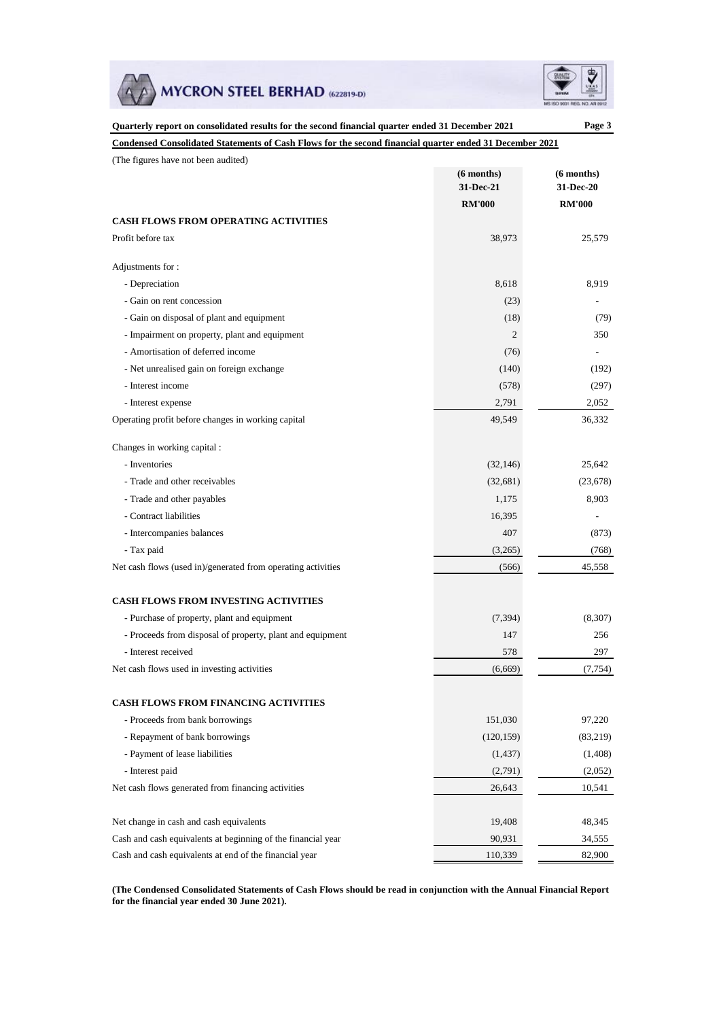



| Quarterly report on consolidated results for the second financial quarter ended 31 December 2021        |                 | Page 3        |
|---------------------------------------------------------------------------------------------------------|-----------------|---------------|
| Condensed Consolidated Statements of Cash Flows for the second financial quarter ended 31 December 2021 |                 |               |
| (The figures have not been audited)                                                                     |                 |               |
|                                                                                                         | $(6$ months)    | $(6$ months)  |
|                                                                                                         | 31-Dec-21       | 31-Dec-20     |
|                                                                                                         | <b>RM'000</b>   | <b>RM'000</b> |
| <b>CASH FLOWS FROM OPERATING ACTIVITIES</b>                                                             |                 |               |
| Profit before tax                                                                                       | 38,973          | 25,579        |
| Adjustments for:                                                                                        |                 |               |
| - Depreciation                                                                                          | 8,618           | 8,919         |
| - Gain on rent concession                                                                               | (23)            |               |
| - Gain on disposal of plant and equipment                                                               | (18)            | (79)          |
| - Impairment on property, plant and equipment                                                           | 2               | 350           |
| - Amortisation of deferred income                                                                       | (76)            |               |
| - Net unrealised gain on foreign exchange                                                               | (140)           | (192)         |
| - Interest income                                                                                       | (578)           | (297)         |
| - Interest expense                                                                                      | 2,791           | 2,052         |
| Operating profit before changes in working capital                                                      | 49,549          | 36,332        |
| Changes in working capital:                                                                             |                 |               |
| - Inventories                                                                                           | (32, 146)       | 25,642        |
| - Trade and other receivables                                                                           | (32, 681)       | (23, 678)     |
| - Trade and other payables                                                                              | 1,175           | 8,903         |
| - Contract liabilities                                                                                  | 16,395          |               |
| - Intercompanies balances                                                                               | 407             | (873)         |
| - Tax paid                                                                                              | (3,265)         | (768)         |
| Net cash flows (used in)/generated from operating activities                                            | (566)           | 45,558        |
| <b>CASH FLOWS FROM INVESTING ACTIVITIES</b>                                                             |                 |               |
|                                                                                                         |                 |               |
| - Purchase of property, plant and equipment                                                             | (7, 394)<br>147 | (8, 307)      |
| - Proceeds from disposal of property, plant and equipment                                               |                 | 256           |
| - Interest received                                                                                     | 578             | 297           |
| Net cash flows used in investing activities                                                             | (6,669)         | (7, 754)      |
| <b>CASH FLOWS FROM FINANCING ACTIVITIES</b>                                                             |                 |               |
| - Proceeds from bank borrowings                                                                         | 151,030         | 97,220        |
| - Repayment of bank borrowings                                                                          | (120, 159)      | (83,219)      |
| - Payment of lease liabilities                                                                          | (1, 437)        | (1,408)       |
| - Interest paid                                                                                         | (2,791)         | (2,052)       |
| Net cash flows generated from financing activities                                                      | 26,643          | 10,541        |
| Net change in cash and cash equivalents                                                                 | 19,408          | 48,345        |
| Cash and cash equivalents at beginning of the financial year                                            | 90,931          | 34,555        |
| Cash and cash equivalents at end of the financial year                                                  | 110,339         | 82,900        |
|                                                                                                         |                 |               |

**(The Condensed Consolidated Statements of Cash Flows should be read in conjunction with the Annual Financial Report for the financial year ended 30 June 2021).**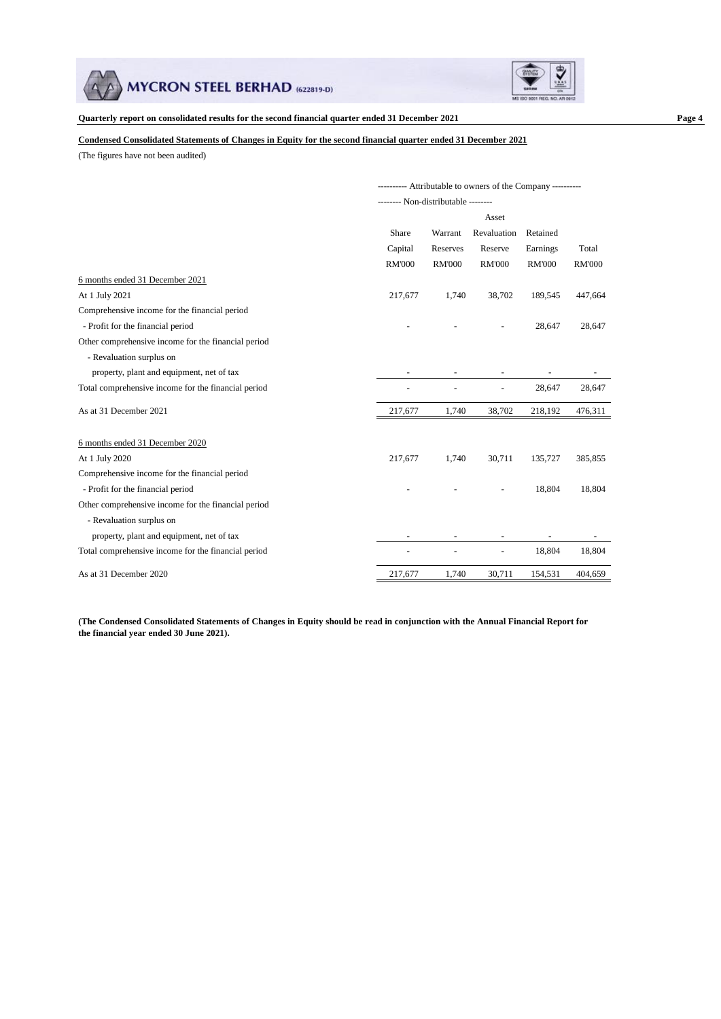



#### **Condensed Consolidated Statements of Changes in Equity for the second financial quarter ended 31 December 2021**

(The figures have not been audited)

|                                                     | ------ Attributable to owners of the Company ---------- |                                    |                          |               |               |
|-----------------------------------------------------|---------------------------------------------------------|------------------------------------|--------------------------|---------------|---------------|
|                                                     |                                                         | ------- Non-distributable -------- |                          |               |               |
|                                                     |                                                         |                                    | Asset                    |               |               |
|                                                     | Share                                                   | Warrant                            | Revaluation              | Retained      |               |
|                                                     | Capital                                                 | Reserves                           | Reserve                  | Earnings      | Total         |
|                                                     | <b>RM'000</b>                                           | <b>RM'000</b>                      | <b>RM'000</b>            | <b>RM'000</b> | <b>RM'000</b> |
| 6 months ended 31 December 2021                     |                                                         |                                    |                          |               |               |
| At 1 July 2021                                      | 217,677                                                 | 1,740                              | 38,702                   | 189,545       | 447,664       |
| Comprehensive income for the financial period       |                                                         |                                    |                          |               |               |
| - Profit for the financial period                   |                                                         |                                    |                          | 28,647        | 28,647        |
| Other comprehensive income for the financial period |                                                         |                                    |                          |               |               |
| - Revaluation surplus on                            |                                                         |                                    |                          |               |               |
| property, plant and equipment, net of tax           |                                                         |                                    |                          |               |               |
| Total comprehensive income for the financial period |                                                         |                                    | $\overline{\phantom{a}}$ | 28,647        | 28,647        |
| As at 31 December 2021                              | 217,677                                                 | 1,740                              | 38,702                   | 218,192       | 476,311       |
| 6 months ended 31 December 2020                     |                                                         |                                    |                          |               |               |
| At 1 July 2020                                      | 217,677                                                 | 1,740                              | 30,711                   | 135,727       | 385,855       |
| Comprehensive income for the financial period       |                                                         |                                    |                          |               |               |
| - Profit for the financial period                   |                                                         |                                    |                          | 18,804        | 18,804        |
| Other comprehensive income for the financial period |                                                         |                                    |                          |               |               |
| - Revaluation surplus on                            |                                                         |                                    |                          |               |               |
| property, plant and equipment, net of tax           |                                                         |                                    |                          |               |               |
| Total comprehensive income for the financial period |                                                         |                                    |                          | 18,804        | 18,804        |
| As at 31 December 2020                              | 217,677                                                 | 1,740                              | 30,711                   | 154,531       | 404,659       |

**(The Condensed Consolidated Statements of Changes in Equity should be read in conjunction with the Annual Financial Report for the financial year ended 30 June 2021).**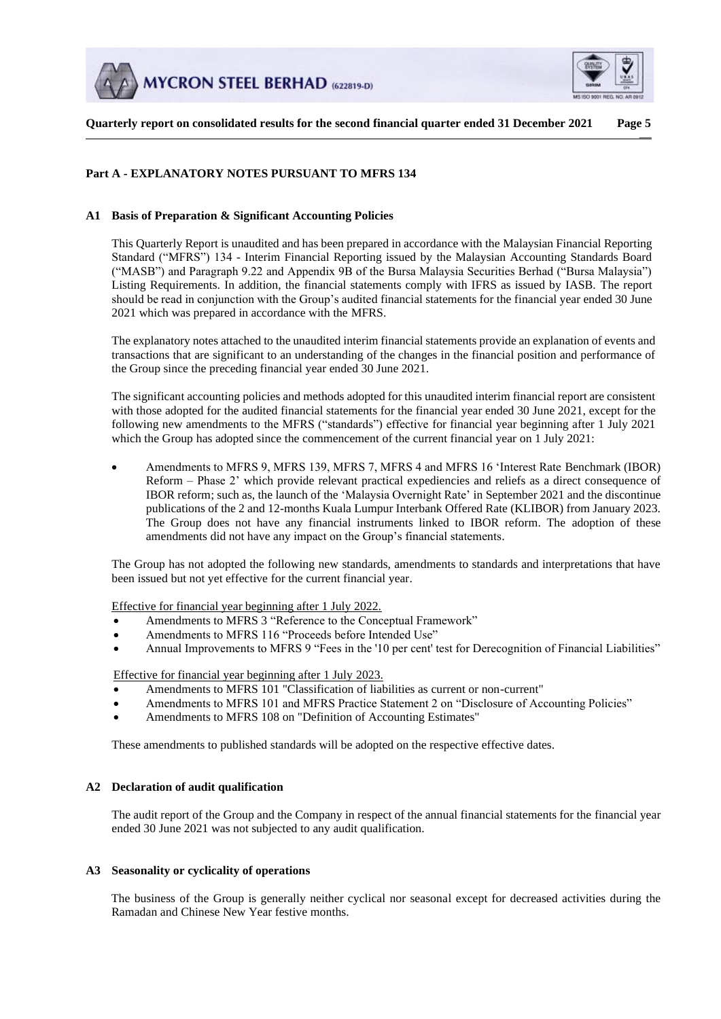



**Quarterly report on consolidated results for the second financial quarter ended 31 December 2021 Page 5**  $\overline{\phantom{a}}$ 

# **Part A - EXPLANATORY NOTES PURSUANT TO MFRS 134**

## **A1 Basis of Preparation & Significant Accounting Policies**

This Quarterly Report is unaudited and has been prepared in accordance with the Malaysian Financial Reporting Standard ("MFRS") 134 - Interim Financial Reporting issued by the Malaysian Accounting Standards Board ("MASB") and Paragraph 9.22 and Appendix 9B of the Bursa Malaysia Securities Berhad ("Bursa Malaysia") Listing Requirements. In addition, the financial statements comply with IFRS as issued by IASB. The report should be read in conjunction with the Group's audited financial statements for the financial year ended 30 June 2021 which was prepared in accordance with the MFRS.

The explanatory notes attached to the unaudited interim financial statements provide an explanation of events and transactions that are significant to an understanding of the changes in the financial position and performance of the Group since the preceding financial year ended 30 June 2021.

The significant accounting policies and methods adopted for this unaudited interim financial report are consistent with those adopted for the audited financial statements for the financial year ended 30 June 2021, except for the following new amendments to the MFRS ("standards") effective for financial year beginning after 1 July 2021 which the Group has adopted since the commencement of the current financial year on 1 July 2021:

• Amendments to MFRS 9, MFRS 139, MFRS 7, MFRS 4 and MFRS 16 'Interest Rate Benchmark (IBOR) Reform – Phase 2' which provide relevant practical expediencies and reliefs as a direct consequence of IBOR reform; such as, the launch of the 'Malaysia Overnight Rate' in September 2021 and the discontinue publications of the 2 and 12-months Kuala Lumpur Interbank Offered Rate (KLIBOR) from January 2023. The Group does not have any financial instruments linked to IBOR reform. The adoption of these amendments did not have any impact on the Group's financial statements.

The Group has not adopted the following new standards, amendments to standards and interpretations that have been issued but not yet effective for the current financial year.

Effective for financial year beginning after 1 July 2022.

- Amendments to MFRS 3 "Reference to the Conceptual Framework"
- Amendments to MFRS 116 "Proceeds before Intended Use"
- Annual Improvements to MFRS 9 "Fees in the '10 per cent' test for Derecognition of Financial Liabilities"

## Effective for financial year beginning after 1 July 2023.

- Amendments to MFRS 101 "Classification of liabilities as current or non-current"
- Amendments to MFRS 101 and MFRS Practice Statement 2 on "Disclosure of Accounting Policies"
- Amendments to MFRS 108 on "Definition of Accounting Estimates"

These amendments to published standards will be adopted on the respective effective dates.

#### **A2 Declaration of audit qualification**

The audit report of the Group and the Company in respect of the annual financial statements for the financial year ended 30 June 2021 was not subjected to any audit qualification.

#### **A3 Seasonality or cyclicality of operations**

The business of the Group is generally neither cyclical nor seasonal except for decreased activities during the Ramadan and Chinese New Year festive months.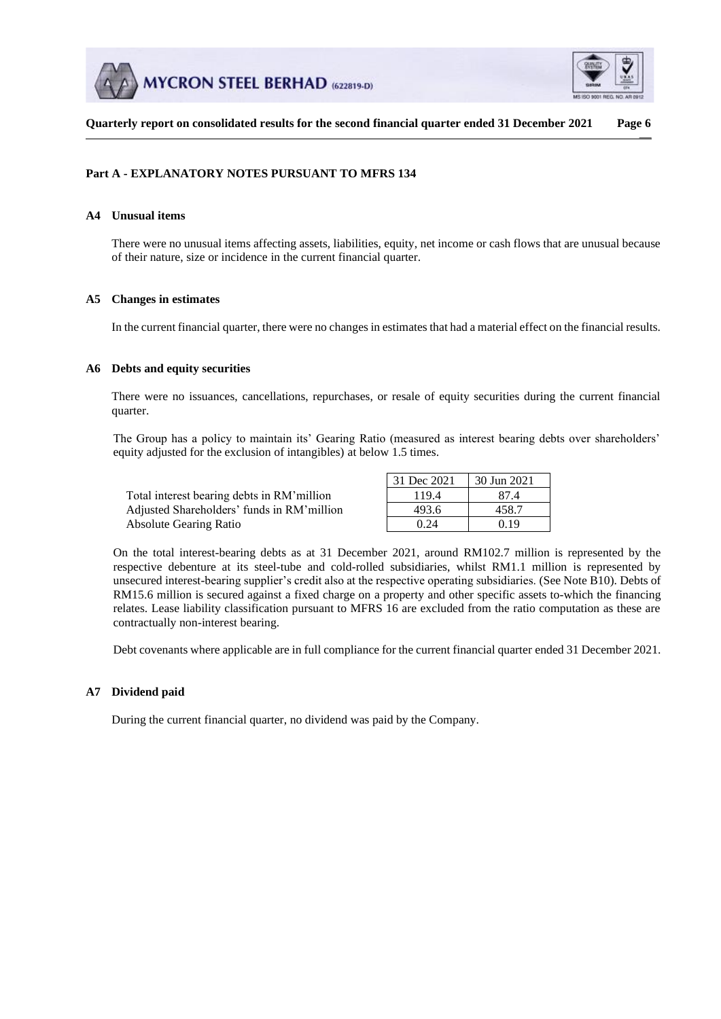



**Quarterly report on consolidated results for the second financial quarter ended 31 December 2021 Page 6**  $\overline{\phantom{a}}$ 

# **Part A - EXPLANATORY NOTES PURSUANT TO MFRS 134**

# **A4 Unusual items**

There were no unusual items affecting assets, liabilities, equity, net income or cash flows that are unusual because of their nature, size or incidence in the current financial quarter.

## **A5 Changes in estimates**

In the current financial quarter, there were no changes in estimates that had a material effect on the financial results.

## **A6 Debts and equity securities**

There were no issuances, cancellations, repurchases, or resale of equity securities during the current financial quarter.

The Group has a policy to maintain its' Gearing Ratio (measured as interest bearing debts over shareholders' equity adjusted for the exclusion of intangibles) at below 1.5 times.

|                                            | 31 Dec 2021 | 30 Jun 2021 |
|--------------------------------------------|-------------|-------------|
| Total interest bearing debts in RM'million | 119.4       | 87.4        |
| Adjusted Shareholders' funds in RM'million | 493.6       | 458.7       |
| <b>Absolute Gearing Ratio</b>              | 0.24        | 0.19        |

On the total interest-bearing debts as at 31 December 2021, around RM102.7 million is represented by the respective debenture at its steel-tube and cold-rolled subsidiaries, whilst RM1.1 million is represented by unsecured interest-bearing supplier's credit also at the respective operating subsidiaries. (See Note B10). Debts of RM15.6 million is secured against a fixed charge on a property and other specific assets to-which the financing relates. Lease liability classification pursuant to MFRS 16 are excluded from the ratio computation as these are contractually non-interest bearing.

Debt covenants where applicable are in full compliance for the current financial quarter ended 31 December 2021.

## **A7 Dividend paid**

During the current financial quarter, no dividend was paid by the Company.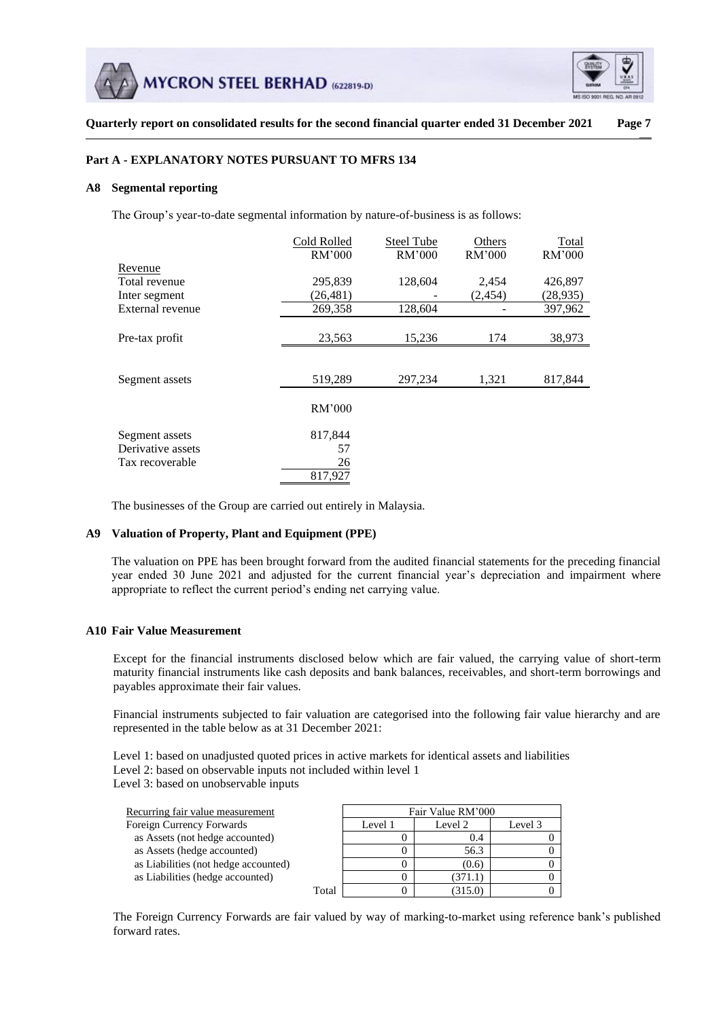



**Quarterly report on consolidated results for the second financial quarter ended 31 December 2021 Page 7**  $\overline{\phantom{a}}$ 

## **Part A - EXPLANATORY NOTES PURSUANT TO MFRS 134**

### **A8 Segmental reporting**

The Group's year-to-date segmental information by nature-of-business is as follows:

|                   | Cold Rolled | <b>Steel Tube</b> | Others  | Total     |
|-------------------|-------------|-------------------|---------|-----------|
|                   | RM'000      | RM'000            | RM'000  | RM'000    |
| Revenue           |             |                   |         |           |
| Total revenue     | 295,839     | 128,604           | 2,454   | 426,897   |
| Inter segment     | (26, 481)   |                   | (2,454) | (28, 935) |
| External revenue  | 269,358     | 128,604           |         | 397,962   |
|                   |             |                   |         |           |
| Pre-tax profit    | 23,563      | 15,236            | 174     | 38,973    |
|                   |             |                   |         |           |
| Segment assets    | 519,289     | 297,234           | 1,321   | 817,844   |
|                   | RM'000      |                   |         |           |
| Segment assets    | 817,844     |                   |         |           |
| Derivative assets | 57          |                   |         |           |
| Tax recoverable   | 26          |                   |         |           |
|                   | 817,927     |                   |         |           |

The businesses of the Group are carried out entirely in Malaysia.

#### **A9 Valuation of Property, Plant and Equipment (PPE)**

The valuation on PPE has been brought forward from the audited financial statements for the preceding financial year ended 30 June 2021 and adjusted for the current financial year's depreciation and impairment where appropriate to reflect the current period's ending net carrying value.

### **A10 Fair Value Measurement**

Except for the financial instruments disclosed below which are fair valued, the carrying value of short-term maturity financial instruments like cash deposits and bank balances, receivables, and short-term borrowings and payables approximate their fair values.

Financial instruments subjected to fair valuation are categorised into the following fair value hierarchy and are represented in the table below as at 31 December 2021:

Level 1: based on unadjusted quoted prices in active markets for identical assets and liabilities Level 2: based on observable inputs not included within level 1 Level 3: based on unobservable inputs

| Recurring fair value measurement     |       |         | Fair Value RM'000 |         |
|--------------------------------------|-------|---------|-------------------|---------|
| Foreign Currency Forwards            |       | Level 1 | Level 2           | Level 3 |
| as Assets (not hedge accounted)      |       |         | 0.4               |         |
| as Assets (hedge accounted)          |       |         | 56.3              |         |
| as Liabilities (not hedge accounted) |       |         | (0.6)             |         |
| as Liabilities (hedge accounted)     |       |         | 371.1             |         |
|                                      | Total |         |                   |         |

The Foreign Currency Forwards are fair valued by way of marking-to-market using reference bank's published forward rates.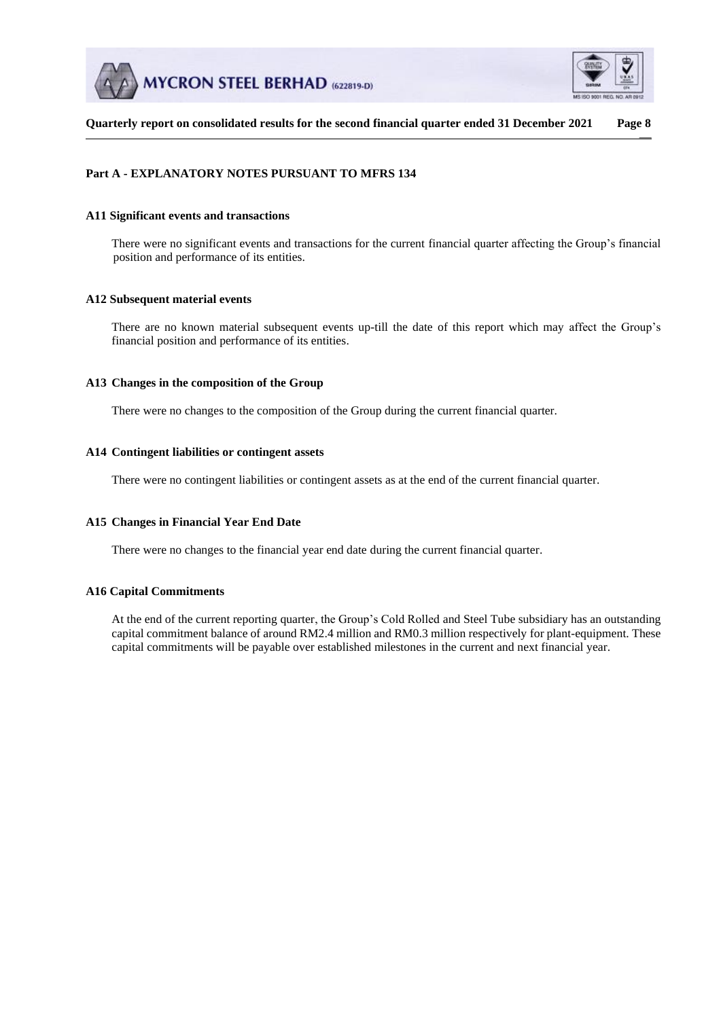



# **Part A - EXPLANATORY NOTES PURSUANT TO MFRS 134**

### **A11 Significant events and transactions**

There were no significant events and transactions for the current financial quarter affecting the Group's financial position and performance of its entities.

## **A12 Subsequent material events**

There are no known material subsequent events up-till the date of this report which may affect the Group's financial position and performance of its entities.

## **A13 Changes in the composition of the Group**

There were no changes to the composition of the Group during the current financial quarter.

## **A14 Contingent liabilities or contingent assets**

There were no contingent liabilities or contingent assets as at the end of the current financial quarter.

## **A15 Changes in Financial Year End Date**

There were no changes to the financial year end date during the current financial quarter.

# **A16 Capital Commitments**

At the end of the current reporting quarter, the Group's Cold Rolled and Steel Tube subsidiary has an outstanding capital commitment balance of around RM2.4 million and RM0.3 million respectively for plant-equipment. These capital commitments will be payable over established milestones in the current and next financial year.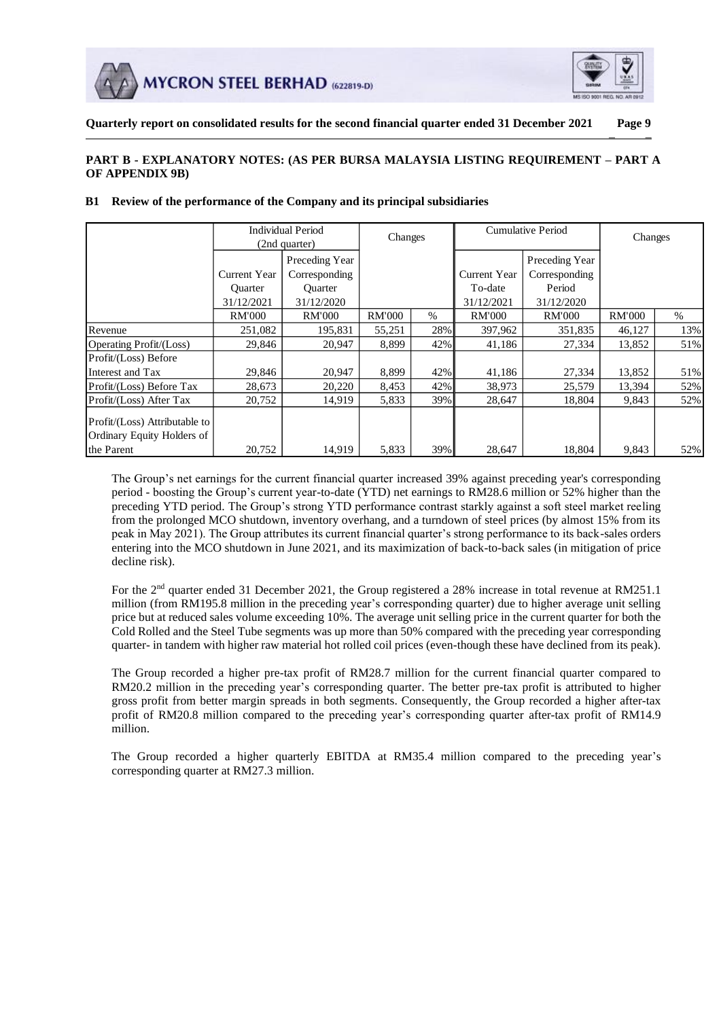



# **PART B - EXPLANATORY NOTES: (AS PER BURSA MALAYSIA LISTING REQUIREMENT – PART A OF APPENDIX 9B)**

|                                                             |                | Individual Period<br>(2nd quarter) | Changes       |      |                     | <b>Cumulative Period</b> | Changes       |      |
|-------------------------------------------------------------|----------------|------------------------------------|---------------|------|---------------------|--------------------------|---------------|------|
|                                                             |                | Preceding Year                     |               |      |                     | Preceding Year           |               |      |
|                                                             | Current Year   | Corresponding                      |               |      | <b>Current Year</b> | Corresponding            |               |      |
|                                                             | <b>Ouarter</b> | <b>Ouarter</b>                     |               |      | To-date             | Period                   |               |      |
|                                                             | 31/12/2021     | 31/12/2020                         |               |      | 31/12/2021          | 31/12/2020               |               |      |
|                                                             | <b>RM'000</b>  | <b>RM'000</b>                      | <b>RM'000</b> | $\%$ | <b>RM'000</b>       | <b>RM'000</b>            | <b>RM'000</b> | $\%$ |
| Revenue                                                     | 251,082        | 195,831                            | 55,251        | 28%  | 397,962             | 351,835                  | 46,127        | 13%  |
| Operating Profit/(Loss)                                     | 29,846         | 20,947                             | 8,899         | 42%  | 41,186              | 27,334                   | 13,852        | 51%  |
| Profit/(Loss) Before                                        |                |                                    |               |      |                     |                          |               |      |
| Interest and Tax                                            | 29,846         | 20,947                             | 8,899         | 42%  | 41,186              | 27,334                   | 13,852        | 51%  |
| Profit/(Loss) Before Tax                                    | 28,673         | 20,220                             | 8,453         | 42%  | 38,973              | 25,579                   | 13,394        | 52%  |
| Profit/(Loss) After Tax                                     | 20,752         | 14,919                             | 5,833         | 39%  | 28,647              | 18,804                   | 9,843         | 52%  |
| Profit/(Loss) Attributable to<br>Ordinary Equity Holders of |                |                                    |               |      |                     |                          |               |      |
| the Parent                                                  | 20,752         | 14,919                             | 5,833         | 39%  | 28,647              | 18,804                   | 9,843         | 52%  |

### **B1 Review of the performance of the Company and its principal subsidiaries**

The Group's net earnings for the current financial quarter increased 39% against preceding year's corresponding period - boosting the Group's current year-to-date (YTD) net earnings to RM28.6 million or 52% higher than the preceding YTD period. The Group's strong YTD performance contrast starkly against a soft steel market reeling from the prolonged MCO shutdown, inventory overhang, and a turndown of steel prices (by almost 15% from its peak in May 2021). The Group attributes its current financial quarter's strong performance to its back-sales orders entering into the MCO shutdown in June 2021, and its maximization of back-to-back sales (in mitigation of price decline risk).

For the 2<sup>nd</sup> quarter ended 31 December 2021, the Group registered a 28% increase in total revenue at RM251.1 million (from RM195.8 million in the preceding year's corresponding quarter) due to higher average unit selling price but at reduced sales volume exceeding 10%. The average unit selling price in the current quarter for both the Cold Rolled and the Steel Tube segments was up more than 50% compared with the preceding year corresponding quarter- in tandem with higher raw material hot rolled coil prices (even-though these have declined from its peak).

The Group recorded a higher pre-tax profit of RM28.7 million for the current financial quarter compared to RM20.2 million in the preceding year's corresponding quarter. The better pre-tax profit is attributed to higher gross profit from better margin spreads in both segments. Consequently, the Group recorded a higher after-tax profit of RM20.8 million compared to the preceding year's corresponding quarter after-tax profit of RM14.9 million.

The Group recorded a higher quarterly EBITDA at RM35.4 million compared to the preceding year's corresponding quarter at RM27.3 million.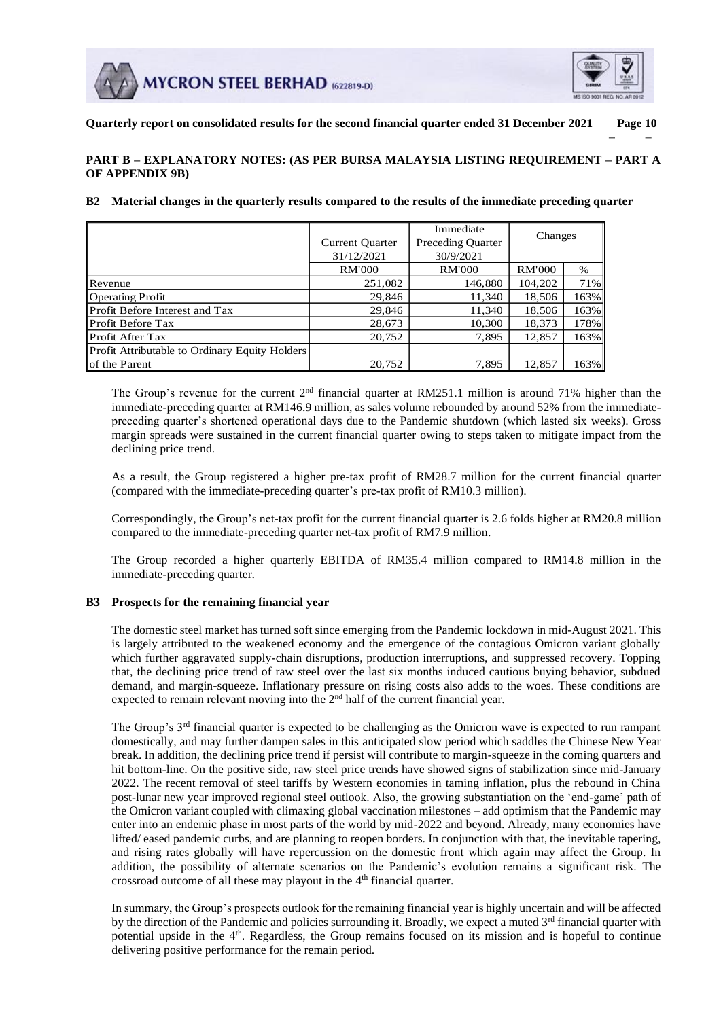



# **PART B – EXPLANATORY NOTES: (AS PER BURSA MALAYSIA LISTING REQUIREMENT – PART A OF APPENDIX 9B)**

## **B2 Material changes in the quarterly results compared to the results of the immediate preceding quarter**

|                                                |                        | Immediate                | Changes       |      |
|------------------------------------------------|------------------------|--------------------------|---------------|------|
|                                                | <b>Current Quarter</b> | <b>Preceding Quarter</b> |               |      |
|                                                | 31/12/2021             | 30/9/2021                |               |      |
|                                                | <b>RM'000</b>          | <b>RM'000</b>            | <b>RM'000</b> | $\%$ |
| Revenue                                        | 251,082                | 146,880                  | 104,202       | 71%  |
| <b>Operating Profit</b>                        | 29,846                 | 11,340                   | 18,506        | 163% |
| Profit Before Interest and Tax                 | 29,846                 | 11,340                   | 18,506        | 163% |
| Profit Before Tax                              | 28,673                 | 10,300                   | 18,373        | 178% |
| Profit After Tax                               | 20,752                 | 7,895                    | 12,857        | 163% |
| Profit Attributable to Ordinary Equity Holders |                        |                          |               |      |
| of the Parent                                  | 20,752                 | 7,895                    | 12,857        | 163% |

The Group's revenue for the current  $2<sup>nd</sup>$  financial quarter at RM251.1 million is around 71% higher than the immediate-preceding quarter at RM146.9 million, as sales volume rebounded by around 52% from the immediatepreceding quarter's shortened operational days due to the Pandemic shutdown (which lasted six weeks). Gross margin spreads were sustained in the current financial quarter owing to steps taken to mitigate impact from the declining price trend.

As a result, the Group registered a higher pre-tax profit of RM28.7 million for the current financial quarter (compared with the immediate-preceding quarter's pre-tax profit of RM10.3 million).

Correspondingly, the Group's net-tax profit for the current financial quarter is 2.6 folds higher at RM20.8 million compared to the immediate-preceding quarter net-tax profit of RM7.9 million.

The Group recorded a higher quarterly EBITDA of RM35.4 million compared to RM14.8 million in the immediate-preceding quarter.

## **B3 Prospects for the remaining financial year**

The domestic steel market has turned soft since emerging from the Pandemic lockdown in mid-August 2021. This is largely attributed to the weakened economy and the emergence of the contagious Omicron variant globally which further aggravated supply-chain disruptions, production interruptions, and suppressed recovery. Topping that, the declining price trend of raw steel over the last six months induced cautious buying behavior, subdued demand, and margin-squeeze. Inflationary pressure on rising costs also adds to the woes. These conditions are expected to remain relevant moving into the  $2<sup>nd</sup>$  half of the current financial year.

The Group's 3rd financial quarter is expected to be challenging as the Omicron wave is expected to run rampant domestically, and may further dampen sales in this anticipated slow period which saddles the Chinese New Year break. In addition, the declining price trend if persist will contribute to margin-squeeze in the coming quarters and hit bottom-line. On the positive side, raw steel price trends have showed signs of stabilization since mid-January 2022. The recent removal of steel tariffs by Western economies in taming inflation, plus the rebound in China post-lunar new year improved regional steel outlook. Also, the growing substantiation on the 'end-game' path of the Omicron variant coupled with climaxing global vaccination milestones – add optimism that the Pandemic may enter into an endemic phase in most parts of the world by mid-2022 and beyond. Already, many economies have lifted/ eased pandemic curbs, and are planning to reopen borders. In conjunction with that, the inevitable tapering, and rising rates globally will have repercussion on the domestic front which again may affect the Group. In addition, the possibility of alternate scenarios on the Pandemic's evolution remains a significant risk. The crossroad outcome of all these may playout in the  $4<sup>th</sup>$  financial quarter. Current Quarter Current Quarter Quarter ( $\frac{29,84}{20,75}$ <br>
in Before Interest and Tax and Tax and Tax and Tax<br>
in Before Interest and Tax and Tax and Tax and Tax and Affer Tax and Affer Tax and Affer Tax and Affer Tax an

In summary, the Group's prospects outlook for the remaining financial year is highly uncertain and will be affected by the direction of the Pandemic and policies surrounding it. Broadly, we expect a muted  $3<sup>rd</sup>$  financial quarter with potential upside in the 4<sup>th</sup>. Regardless, the Group remains focused on its mission and is hopeful to continue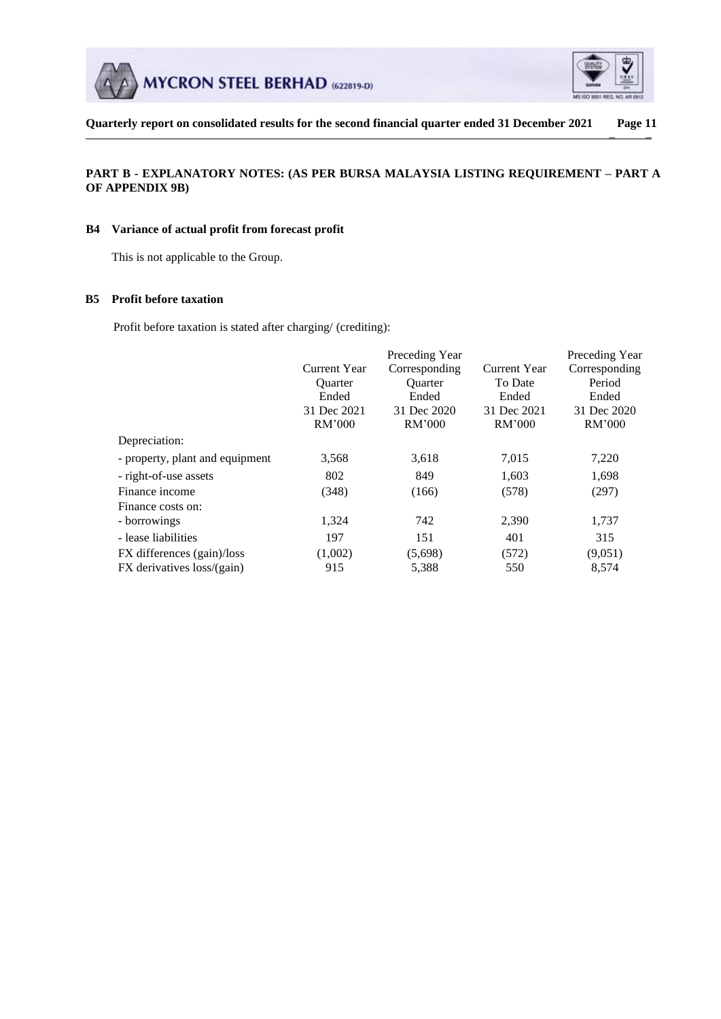



# **PART B - EXPLANATORY NOTES: (AS PER BURSA MALAYSIA LISTING REQUIREMENT – PART A OF APPENDIX 9B)**

## **B4 Variance of actual profit from forecast profit**

This is not applicable to the Group.

## **B5 Profit before taxation**

Profit before taxation is stated after charging/ (crediting):

|                                 | Preceding Year<br>Preceding Year |                |              |               |  |
|---------------------------------|----------------------------------|----------------|--------------|---------------|--|
|                                 | <b>Current Year</b>              | Corresponding  | Current Year | Corresponding |  |
|                                 | <b>Ouarter</b>                   | <b>Ouarter</b> | To Date      | Period        |  |
|                                 | Ended                            | Ended          | Ended        | Ended         |  |
|                                 | 31 Dec 2021                      | 31 Dec 2020    | 31 Dec 2021  | 31 Dec 2020   |  |
|                                 | RM'000                           | RM'000         | RM'000       | RM'000        |  |
| Depreciation:                   |                                  |                |              |               |  |
| - property, plant and equipment | 3,568                            | 3,618          | 7,015        | 7,220         |  |
| - right-of-use assets           | 802                              | 849            | 1,603        | 1,698         |  |
| Finance income                  | (348)                            | (166)          | (578)        | (297)         |  |
| Finance costs on:               |                                  |                |              |               |  |
| - borrowings                    | 1,324                            | 742            | 2,390        | 1,737         |  |
| - lease liabilities             | 197                              | 151            | 401          | 315           |  |
| FX differences (gain)/loss      | (1,002)                          | (5,698)        | (572)        | (9,051)       |  |
| FX derivatives loss/(gain)      | 915                              | 5,388          | 550          | 8,574         |  |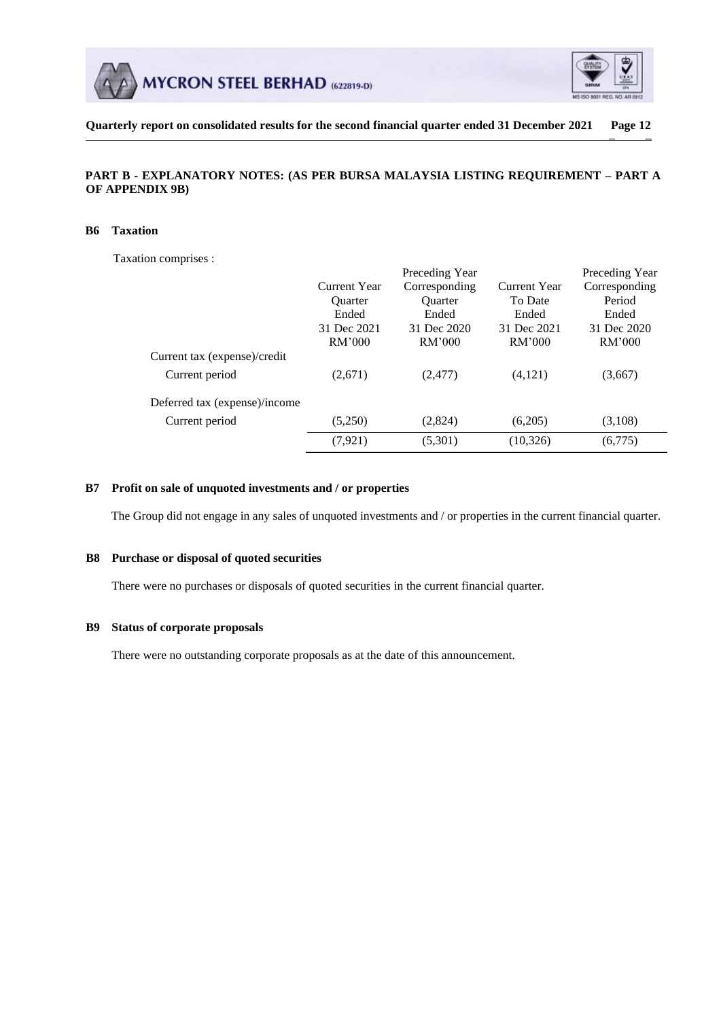



**Quarterly report on consolidated results for the second financial quarter ended 31 December 2021 Page 12**  $\overline{\phantom{a}}$   $\overline{\phantom{a}}$ 

# **PART B - EXPLANATORY NOTES: (AS PER BURSA MALAYSIA LISTING REQUIREMENT – PART A OF APPENDIX 9B)**

### **B6 Taxation**

Taxation comprises :

|                               |                | Preceding Year |              | Preceding Year |
|-------------------------------|----------------|----------------|--------------|----------------|
|                               | Current Year   | Corresponding  | Current Year | Corresponding  |
|                               | <b>Ouarter</b> | <b>Ouarter</b> | To Date      | Period         |
|                               | Ended          | Ended          | Ended        | Ended          |
|                               | 31 Dec 2021    | 31 Dec 2020    | 31 Dec 2021  | 31 Dec 2020    |
|                               | RM'000         | RM'000         | RM'000       | RM'000         |
| Current tax (expense)/credit  |                |                |              |                |
| Current period                | (2,671)        | (2, 477)       | (4,121)      | (3,667)        |
| Deferred tax (expense)/income |                |                |              |                |
| Current period                | (5,250)        | (2,824)        | (6,205)      | (3,108)        |
|                               | (7, 921)       | (5,301)        | (10, 326)    | (6,775)        |
|                               |                |                |              |                |

## **B7 Profit on sale of unquoted investments and / or properties**

The Group did not engage in any sales of unquoted investments and / or properties in the current financial quarter.

## **B8 Purchase or disposal of quoted securities**

There were no purchases or disposals of quoted securities in the current financial quarter.

## **B9 Status of corporate proposals**

There were no outstanding corporate proposals as at the date of this announcement.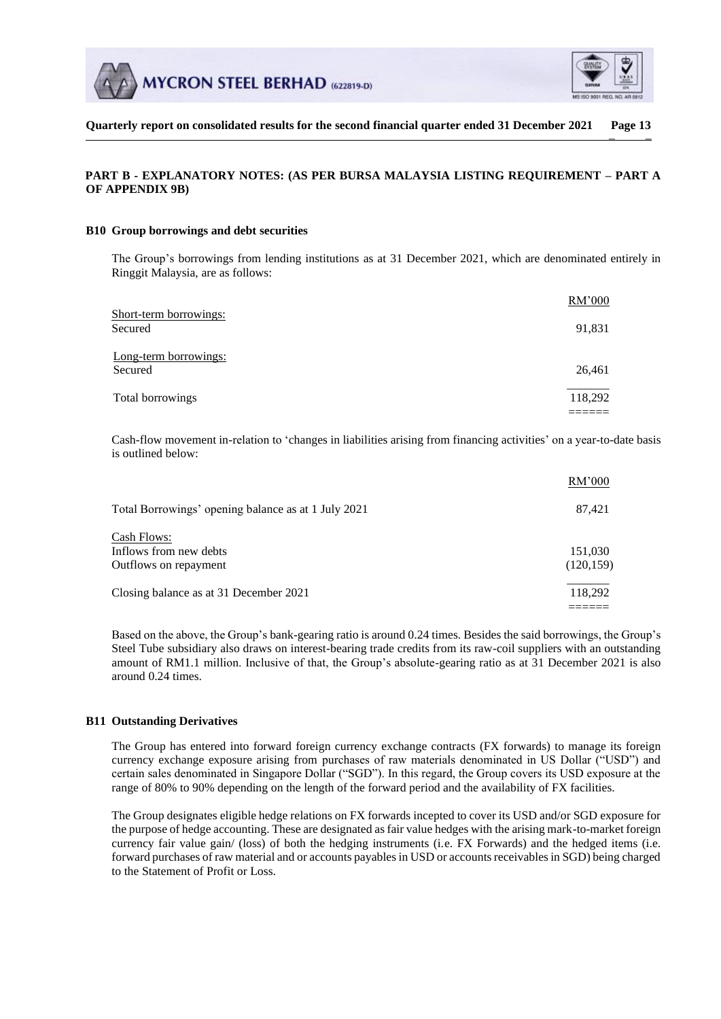



# **PART B - EXPLANATORY NOTES: (AS PER BURSA MALAYSIA LISTING REQUIREMENT – PART A OF APPENDIX 9B)**

#### **B10 Group borrowings and debt securities**

The Group's borrowings from lending institutions as at 31 December 2021, which are denominated entirely in Ringgit Malaysia, are as follows:

|                                   | RM'000  |
|-----------------------------------|---------|
| Short-term borrowings:<br>Secured | 91,831  |
| Long-term borrowings:<br>Secured  | 26,461  |
| Total borrowings                  | 118,292 |
|                                   |         |

Cash-flow movement in-relation to 'changes in liabilities arising from financing activities' on a year-to-date basis is outlined below:

|                                                     | RM'000     |
|-----------------------------------------------------|------------|
| Total Borrowings' opening balance as at 1 July 2021 | 87,421     |
| Cash Flows:                                         |            |
| Inflows from new debts                              | 151,030    |
| Outflows on repayment                               | (120, 159) |
| Closing balance as at 31 December 2021              | 118,292    |
|                                                     |            |

Based on the above, the Group's bank-gearing ratio is around 0.24 times. Besides the said borrowings, the Group's Steel Tube subsidiary also draws on interest-bearing trade credits from its raw-coil suppliers with an outstanding amount of RM1.1 million. Inclusive of that, the Group's absolute-gearing ratio as at 31 December 2021 is also around 0.24 times.

## **B11 Outstanding Derivatives**

The Group has entered into forward foreign currency exchange contracts (FX forwards) to manage its foreign currency exchange exposure arising from purchases of raw materials denominated in US Dollar ("USD") and certain sales denominated in Singapore Dollar ("SGD"). In this regard, the Group covers its USD exposure at the range of 80% to 90% depending on the length of the forward period and the availability of FX facilities.

The Group designates eligible hedge relations on FX forwards incepted to cover its USD and/or SGD exposure for the purpose of hedge accounting. These are designated as fair value hedges with the arising mark-to-market foreign currency fair value gain/ (loss) of both the hedging instruments (i.e. FX Forwards) and the hedged items (i.e. forward purchases of raw material and or accounts payables in USD or accounts receivables in SGD) being charged to the Statement of Profit or Loss.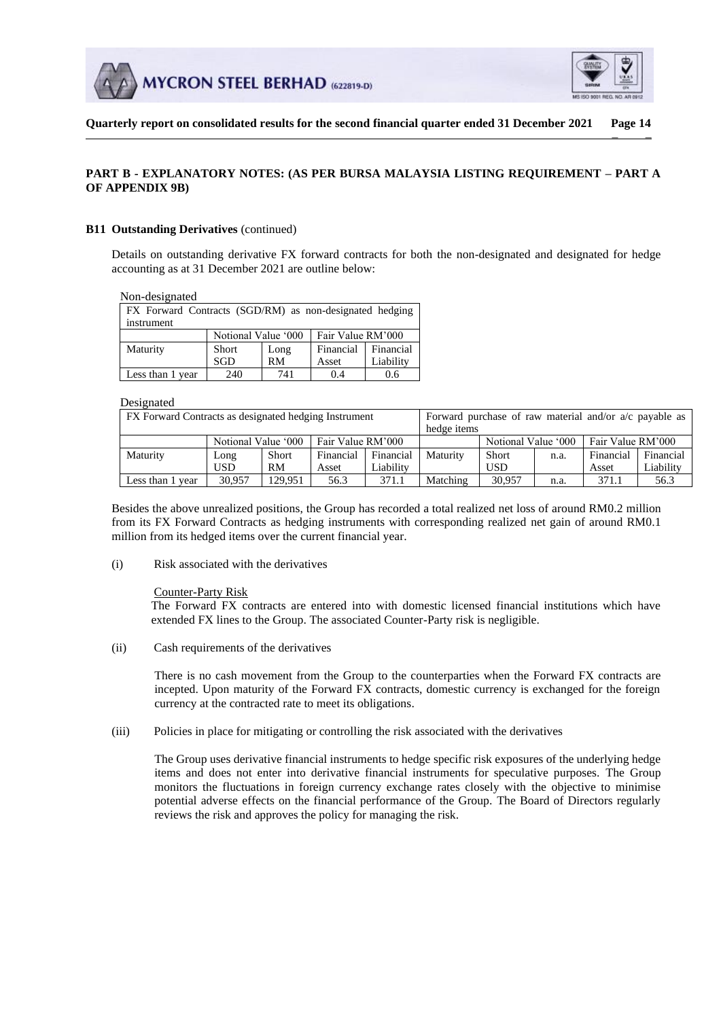



# **PART B - EXPLANATORY NOTES: (AS PER BURSA MALAYSIA LISTING REQUIREMENT – PART A OF APPENDIX 9B)**

### **B11 Outstanding Derivatives** (continued)

Details on outstanding derivative FX forward contracts for both the non-designated and designated for hedge accounting as at 31 December 2021 are outline below:

Non-designated

| FX Forward Contracts (SGD/RM) as non-designated hedging<br>instrument |                     |      |                   |           |  |
|-----------------------------------------------------------------------|---------------------|------|-------------------|-----------|--|
|                                                                       | Notional Value '000 |      | Fair Value RM'000 |           |  |
| Maturity                                                              | <b>Short</b>        | Long | Financial         | Financial |  |
|                                                                       | SGD                 | RM   | Asset             | Liability |  |
| Less than 1 year                                                      | 240                 | 741  | 0.4               | 0.6       |  |

#### Designated

| FX Forward Contracts as designated hedging Instrument |                     |         | Forward purchase of raw material and/or $a/c$ payable as<br>hedge items |           |          |                     |      |                   |           |
|-------------------------------------------------------|---------------------|---------|-------------------------------------------------------------------------|-----------|----------|---------------------|------|-------------------|-----------|
|                                                       | Notional Value '000 |         | Fair Value RM'000                                                       |           |          | Notional Value '000 |      | Fair Value RM'000 |           |
| Maturity                                              | Long                | Short   | Financial                                                               | Financial | Maturity | Short               | n.a. | Financial         | Financial |
|                                                       | USD                 | RM      | Asset                                                                   | Liability |          | <b>USD</b>          |      | Asset             | Liability |
| Less than 1 vear                                      | 30.957              | 129.951 | 56.3                                                                    | 371.1     | Matching | 30.957              | n.a. | 371.1             | 56.3      |

Besides the above unrealized positions, the Group has recorded a total realized net loss of around RM0.2 million from its FX Forward Contracts as hedging instruments with corresponding realized net gain of around RM0.1 million from its hedged items over the current financial year.

(i) Risk associated with the derivatives

#### Counter-Party Risk

The Forward FX contracts are entered into with domestic licensed financial institutions which have extended FX lines to the Group. The associated Counter-Party risk is negligible.

(ii) Cash requirements of the derivatives

There is no cash movement from the Group to the counterparties when the Forward FX contracts are incepted. Upon maturity of the Forward FX contracts, domestic currency is exchanged for the foreign currency at the contracted rate to meet its obligations.

(iii) Policies in place for mitigating or controlling the risk associated with the derivatives

The Group uses derivative financial instruments to hedge specific risk exposures of the underlying hedge items and does not enter into derivative financial instruments for speculative purposes. The Group monitors the fluctuations in foreign currency exchange rates closely with the objective to minimise potential adverse effects on the financial performance of the Group. The Board of Directors regularly reviews the risk and approves the policy for managing the risk.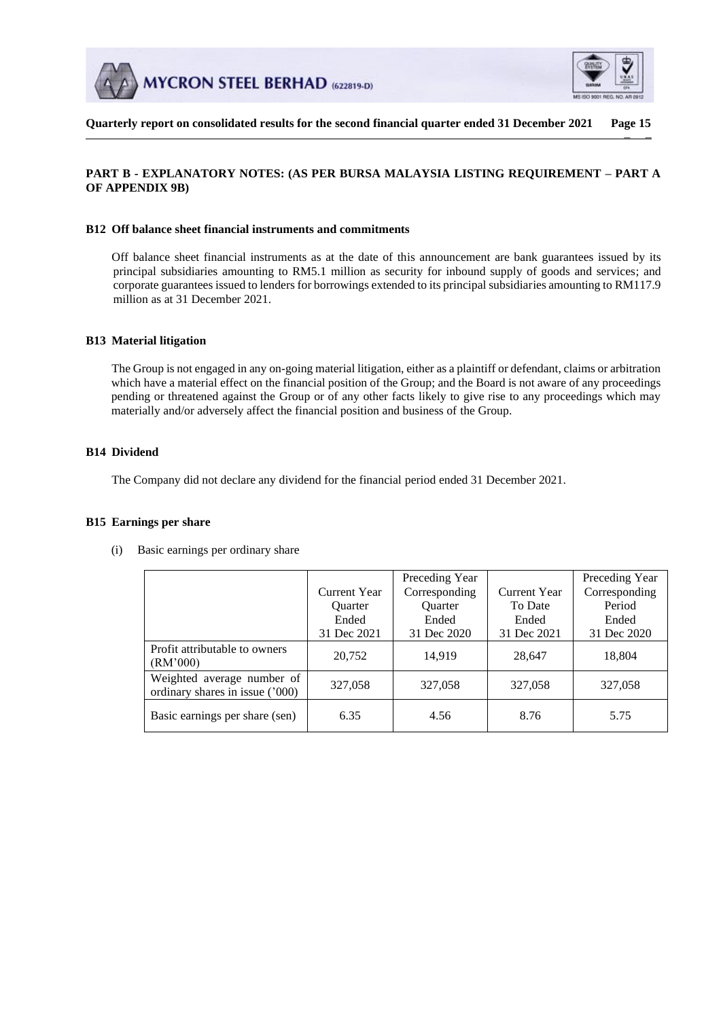



## **PART B - EXPLANATORY NOTES: (AS PER BURSA MALAYSIA LISTING REQUIREMENT – PART A OF APPENDIX 9B)**

## **B12 Off balance sheet financial instruments and commitments**

Off balance sheet financial instruments as at the date of this announcement are bank guarantees issued by its principal subsidiaries amounting to RM5.1 million as security for inbound supply of goods and services; and corporate guarantees issued to lenders for borrowings extended to its principal subsidiaries amounting to RM117.9 million as at 31 December 2021.

## **B13 Material litigation**

The Group is not engaged in any on-going material litigation, either as a plaintiff or defendant, claims or arbitration which have a material effect on the financial position of the Group; and the Board is not aware of any proceedings pending or threatened against the Group or of any other facts likely to give rise to any proceedings which may materially and/or adversely affect the financial position and business of the Group.

### **B14 Dividend**

The Company did not declare any dividend for the financial period ended 31 December 2021.

#### **B15 Earnings per share**

|                                                               |                | Preceding Year |                     | Preceding Year |
|---------------------------------------------------------------|----------------|----------------|---------------------|----------------|
|                                                               | Current Year   | Corresponding  | <b>Current Year</b> | Corresponding  |
|                                                               | <b>Ouarter</b> | <b>Ouarter</b> | To Date             | Period         |
|                                                               | Ended          | Ended          | Ended               | Ended          |
|                                                               | 31 Dec 2021    | 31 Dec 2020    | 31 Dec 2021         | 31 Dec 2020    |
| Profit attributable to owners<br>(RM'000)                     | 20,752         | 14,919         | 28,647              | 18,804         |
| Weighted average number of<br>ordinary shares in issue ('000) | 327,058        | 327,058        | 327,058             | 327,058        |
| Basic earnings per share (sen)                                | 6.35           | 4.56           | 8.76                | 5.75           |

(i) Basic earnings per ordinary share